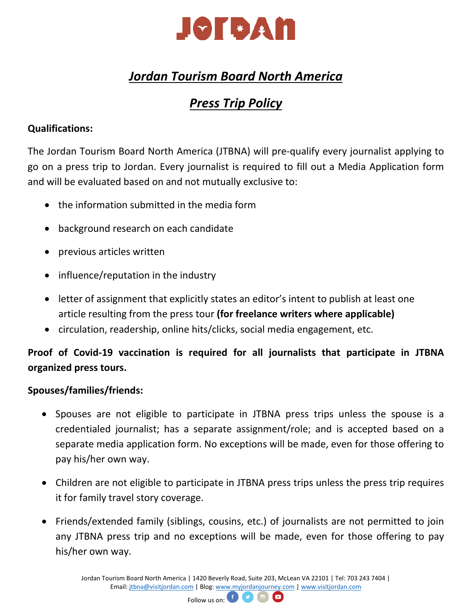

# *Jordan Tourism Board North America*

# *Press Trip Policy*

## **Qualifications:**

The Jordan Tourism Board North America (JTBNA) will pre-qualify every journalist applying to go on a press trip to Jordan. Every journalist is required to fill out a Media Application form and will be evaluated based on and not mutually exclusive to:

- the information submitted in the media form
- background research on each candidate
- previous articles written
- influence/reputation in the industry
- letter of assignment that explicitly states an editor's intent to publish at least one article resulting from the press tour **(for freelance writers where applicable)**
- circulation, readership, online hits/clicks, social media engagement, etc.

## **Proof of Covid-19 vaccination is required for all journalists that participate in JTBNA organized press tours.**

### **Spouses/families/friends:**

- Spouses are not eligible to participate in JTBNA press trips unless the spouse is a credentialed journalist; has a separate assignment/role; and is accepted based on a separate media application form. No exceptions will be made, even for those offering to pay his/her own way.
- Children are not eligible to participate in JTBNA press trips unless the press trip requires it for family travel story coverage.
- Friends/extended family (siblings, cousins, etc.) of journalists are not permitted to join any JTBNA press trip and no exceptions will be made, even for those offering to pay his/her own way.

Jordan Tourism Board North America | 1420 Beverly Road, Suite 203, McLean VA 22101 | Tel: 703 243 7404 | Email[: jtbna@visitjordan.com](mailto:jtbna@visitjordan.com) | Blog: [www.myjordanjourney.com](http://www.myjordanjourney.com/) [| www.visitjordan.com](http://www.visitjordan.com/)

 $\bullet$ 

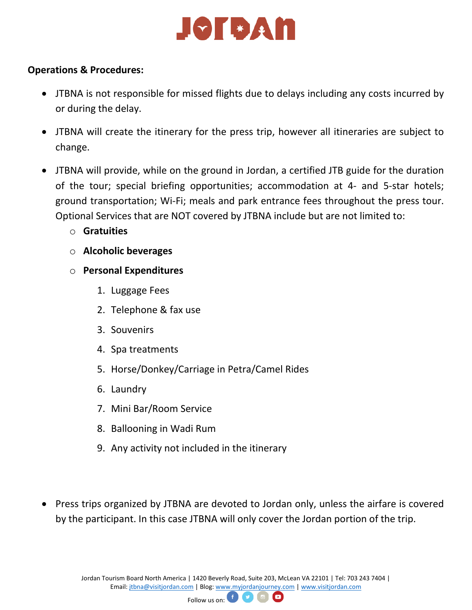# JOTSAN

#### **Operations & Procedures:**

- JTBNA is not responsible for missed flights due to delays including any costs incurred by or during the delay.
- JTBNA will create the itinerary for the press trip, however all itineraries are subject to change.
- JTBNA will provide, while on the ground in Jordan, a certified JTB guide for the duration of the tour; special briefing opportunities; accommodation at 4- and 5-star hotels; ground transportation; Wi-Fi; meals and park entrance fees throughout the press tour. Optional Services that are NOT covered by JTBNA include but are not limited to:
	- o **Gratuities**
	- o **Alcoholic beverages**
	- o **Personal Expenditures**
		- 1. Luggage Fees
		- 2. Telephone & fax use
		- 3. Souvenirs
		- 4. Spa treatments
		- 5. Horse/Donkey/Carriage in Petra/Camel Rides
		- 6. Laundry
		- 7. Mini Bar/Room Service
		- 8. Ballooning in Wadi Rum
		- 9. Any activity not included in the itinerary
- Press trips organized by JTBNA are devoted to Jordan only, unless the airfare is covered by the participant. In this case JTBNA will only cover the Jordan portion of the trip.

Jordan Tourism Board North America | 1420 Beverly Road, Suite 203, McLean VA 22101 | Tel: 703 243 7404 | Email[: jtbna@visitjordan.com](mailto:jtbna@visitjordan.com) | Blog: [www.myjordanjourney.com](http://www.myjordanjourney.com/) [| www.visitjordan.com](http://www.visitjordan.com/)

 $\bullet$